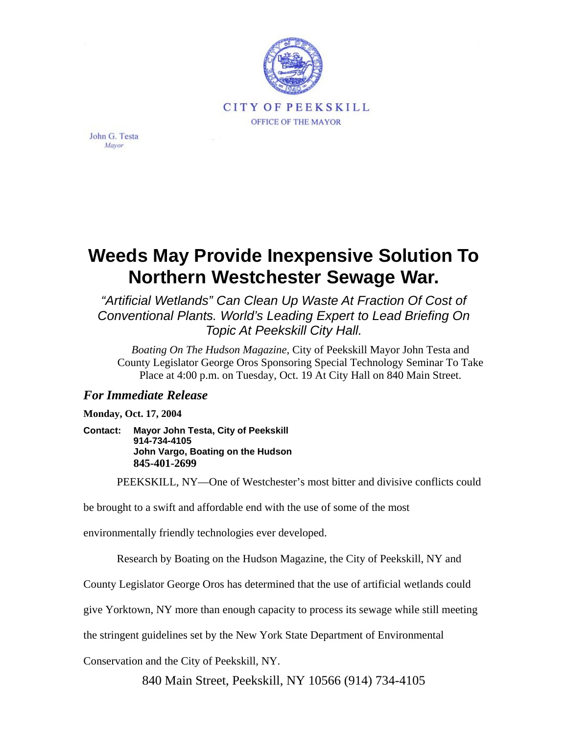

John G. Testa Mayor

## **Weeds May Provide Inexpensive Solution To Northern Westchester Sewage War.**

*"Artificial Wetlands" Can Clean Up Waste At Fraction Of Cost of Conventional Plants. World's Leading Expert to Lead Briefing On Topic At Peekskill City Hall.*

*Boating On The Hudson Magazine*, City of Peekskill Mayor John Testa and County Legislator George Oros Sponsoring Special Technology Seminar To Take Place at 4:00 p.m. on Tuesday, Oct. 19 At City Hall on 840 Main Street.

## *For Immediate Release*

**Monday, Oct. 17, 2004** 

**Contact: Mayor John Testa, City of Peekskill 914-734-4105 John Vargo, Boating on the Hudson 845-401-2699**

PEEKSKILL, NY—One of Westchester's most bitter and divisive conflicts could

be brought to a swift and affordable end with the use of some of the most

environmentally friendly technologies ever developed.

Research by Boating on the Hudson Magazine, the City of Peekskill, NY and

County Legislator George Oros has determined that the use of artificial wetlands could

give Yorktown, NY more than enough capacity to process its sewage while still meeting

the stringent guidelines set by the New York State Department of Environmental

Conservation and the City of Peekskill, NY.

840 Main Street, Peekskill, NY 10566 (914) 734-4105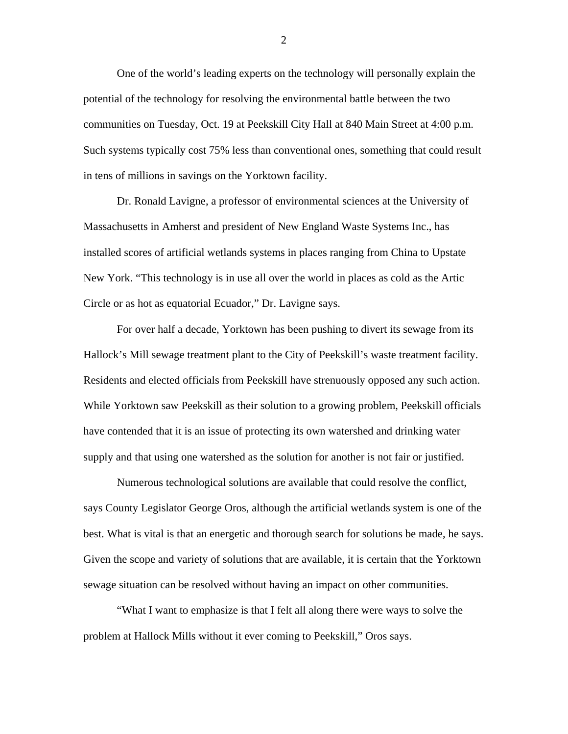One of the world's leading experts on the technology will personally explain the potential of the technology for resolving the environmental battle between the two communities on Tuesday, Oct. 19 at Peekskill City Hall at 840 Main Street at 4:00 p.m. Such systems typically cost 75% less than conventional ones, something that could result in tens of millions in savings on the Yorktown facility.

Dr. Ronald Lavigne, a professor of environmental sciences at the University of Massachusetts in Amherst and president of New England Waste Systems Inc., has installed scores of artificial wetlands systems in places ranging from China to Upstate New York. "This technology is in use all over the world in places as cold as the Artic Circle or as hot as equatorial Ecuador," Dr. Lavigne says.

For over half a decade, Yorktown has been pushing to divert its sewage from its Hallock's Mill sewage treatment plant to the City of Peekskill's waste treatment facility. Residents and elected officials from Peekskill have strenuously opposed any such action. While Yorktown saw Peekskill as their solution to a growing problem, Peekskill officials have contended that it is an issue of protecting its own watershed and drinking water supply and that using one watershed as the solution for another is not fair or justified.

Numerous technological solutions are available that could resolve the conflict, says County Legislator George Oros, although the artificial wetlands system is one of the best. What is vital is that an energetic and thorough search for solutions be made, he says. Given the scope and variety of solutions that are available, it is certain that the Yorktown sewage situation can be resolved without having an impact on other communities.

"What I want to emphasize is that I felt all along there were ways to solve the problem at Hallock Mills without it ever coming to Peekskill," Oros says.

2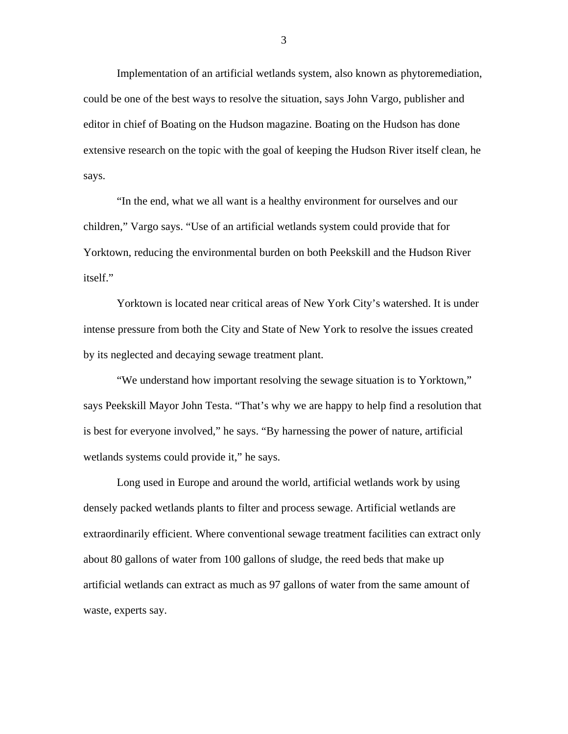Implementation of an artificial wetlands system, also known as phytoremediation, could be one of the best ways to resolve the situation, says John Vargo, publisher and editor in chief of Boating on the Hudson magazine. Boating on the Hudson has done extensive research on the topic with the goal of keeping the Hudson River itself clean, he says.

"In the end, what we all want is a healthy environment for ourselves and our children," Vargo says. "Use of an artificial wetlands system could provide that for Yorktown, reducing the environmental burden on both Peekskill and the Hudson River itself."

Yorktown is located near critical areas of New York City's watershed. It is under intense pressure from both the City and State of New York to resolve the issues created by its neglected and decaying sewage treatment plant.

"We understand how important resolving the sewage situation is to Yorktown," says Peekskill Mayor John Testa. "That's why we are happy to help find a resolution that is best for everyone involved," he says. "By harnessing the power of nature, artificial wetlands systems could provide it," he says.

Long used in Europe and around the world, artificial wetlands work by using densely packed wetlands plants to filter and process sewage. Artificial wetlands are extraordinarily efficient. Where conventional sewage treatment facilities can extract only about 80 gallons of water from 100 gallons of sludge, the reed beds that make up artificial wetlands can extract as much as 97 gallons of water from the same amount of waste, experts say.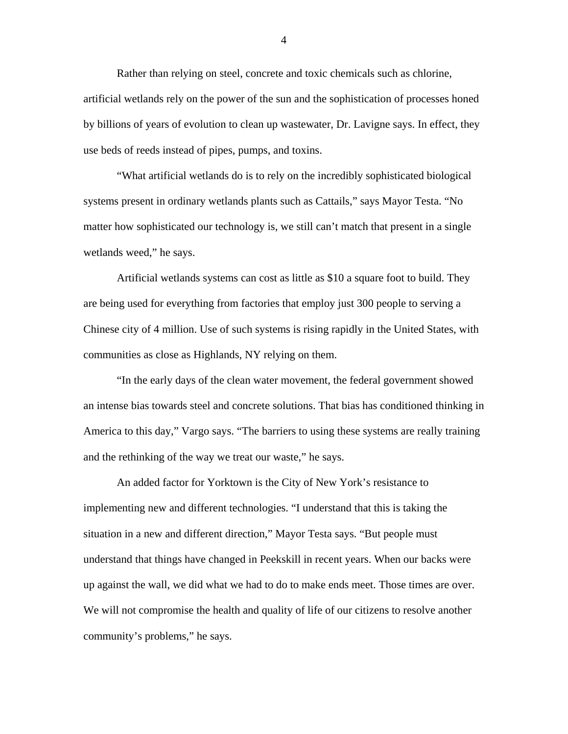Rather than relying on steel, concrete and toxic chemicals such as chlorine, artificial wetlands rely on the power of the sun and the sophistication of processes honed by billions of years of evolution to clean up wastewater, Dr. Lavigne says. In effect, they use beds of reeds instead of pipes, pumps, and toxins.

"What artificial wetlands do is to rely on the incredibly sophisticated biological systems present in ordinary wetlands plants such as Cattails," says Mayor Testa. "No matter how sophisticated our technology is, we still can't match that present in a single wetlands weed," he says.

Artificial wetlands systems can cost as little as \$10 a square foot to build. They are being used for everything from factories that employ just 300 people to serving a Chinese city of 4 million. Use of such systems is rising rapidly in the United States, with communities as close as Highlands, NY relying on them.

"In the early days of the clean water movement, the federal government showed an intense bias towards steel and concrete solutions. That bias has conditioned thinking in America to this day," Vargo says. "The barriers to using these systems are really training and the rethinking of the way we treat our waste," he says.

An added factor for Yorktown is the City of New York's resistance to implementing new and different technologies. "I understand that this is taking the situation in a new and different direction," Mayor Testa says. "But people must understand that things have changed in Peekskill in recent years. When our backs were up against the wall, we did what we had to do to make ends meet. Those times are over. We will not compromise the health and quality of life of our citizens to resolve another community's problems," he says.

4